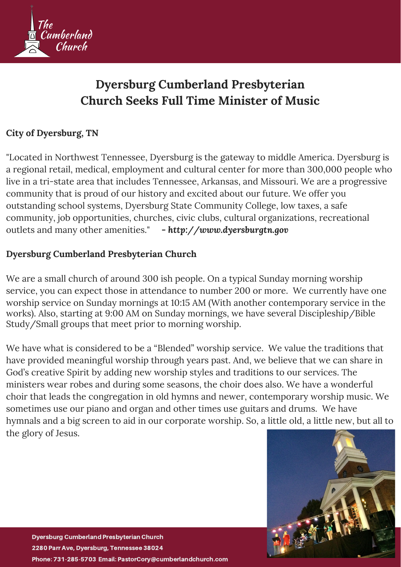

# **Dyersburg Cumberland Presbyterian Church Seeks Full Time Minister of Music**

### **City of Dyersburg, TN**

"Located in Northwest Tennessee, Dyersburg is the gateway to middle America. Dyersburg is a regional retail, medical, employment and cultural center for more than 300,000 people who live in a tri-state area that includes Tennessee, Arkansas, and Missouri. We are a progressive community that is proud of our history and excited about our future. We offer you outstanding school systems, Dyersburg State Community College, low taxes, a safe community, job opportunities, churches, civic clubs, cultural organizations, recreational outlets and many other amenities." *- http://www.dyersburgtn.gov*

#### **Dyersburg Cumberland Presbyterian Church**

We are a small church of around 300 ish people. On a typical Sunday morning worship service, you can expect those in attendance to number 200 or more. We currently have one worship service on Sunday mornings at 10:15 AM (With another contemporary service in the works). Also, starting at 9:00 AM on Sunday mornings, we have several Discipleship/Bible Study/Small groups that meet prior to morning worship.

We have what is considered to be a "Blended" worship service. We value the traditions that have provided meaningful worship through years past. And, we believe that we can share in God's creative Spirit by adding new worship styles and traditions to our services. The ministers wear robes and during some seasons, the choir does also. We have a wonderful choir that leads the congregation in old hymns and newer, contemporary worship music. We sometimes use our piano and organ and other times use guitars and drums. We have hymnals and a big screen to aid in our corporate worship. So, a little old, a little new, but all to the glory of Jesus.

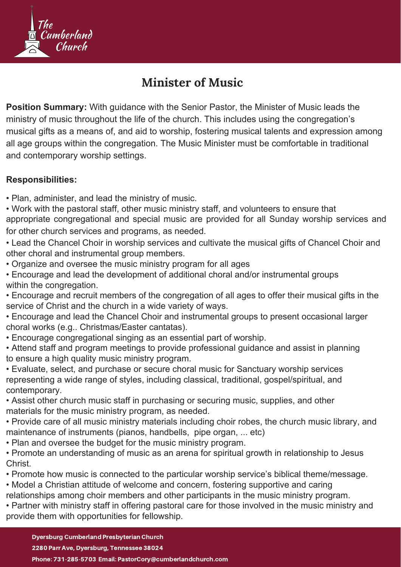

## **Minister of Music**

**Position Summary:** With guidance with the Senior Pastor, the Minister of Music leads the ministry of music throughout the life of the church. This includes using the congregation's musical gifts as a means of, and aid to worship, fostering musical talents and expression among all age groups within the congregation. The Music Minister must be comfortable in traditional and contemporary worship settings.

#### **Responsibilities:**

- Plan, administer, and lead the ministry of music.
- Work with the pastoral staff, other music ministry staff, and volunteers to ensure that appropriate congregational and special music are provided for all Sunday worship services and for other church services and programs, as needed.
- Lead the Chancel Choir in worship services and cultivate the musical gifts of Chancel Choir and other choral and instrumental group members.
- Organize and oversee the music ministry program for all ages
- Encourage and lead the development of additional choral and/or instrumental groups within the congregation.
- Encourage and recruit members of the congregation of all ages to offer their musical gifts in the service of Christ and the church in a wide variety of ways.
- Encourage and lead the Chancel Choir and instrumental groups to present occasional larger choral works (e.g.. Christmas/Easter cantatas).
- Encourage congregational singing as an essential part of worship.
- Attend staff and program meetings to provide professional guidance and assist in planning to ensure a high quality music ministry program.
- Evaluate, select, and purchase or secure choral music for Sanctuary worship services representing a wide range of styles, including classical, traditional, gospel/spiritual, and contemporary.
- Assist other church music staff in purchasing or securing music, supplies, and other materials for the music ministry program, as needed.
- Provide care of all music ministry materials including choir robes, the church music library, and maintenance of instruments (pianos, handbells, pipe organ, ... etc)
- Plan and oversee the budget for the music ministry program.
- Promote an understanding of music as an arena for spiritual growth in relationship to Jesus Christ.
- Promote how music is connected to the particular worship service's biblical theme/message.
- Model a Christian attitude of welcome and concern, fostering supportive and caring
- relationships among choir members and other participants in the music ministry program.
- Partner with ministry staff in offering pastoral care for those involved in the music ministry and provide them with opportunities for fellowship.

#### Dyersburg Cumberland Presbyterian Church

2280 Parr Ave, Dyersburg, Tennessee 38024

Phone: 731-285-5703 Email: PastorCory@cumberlandchurch.com